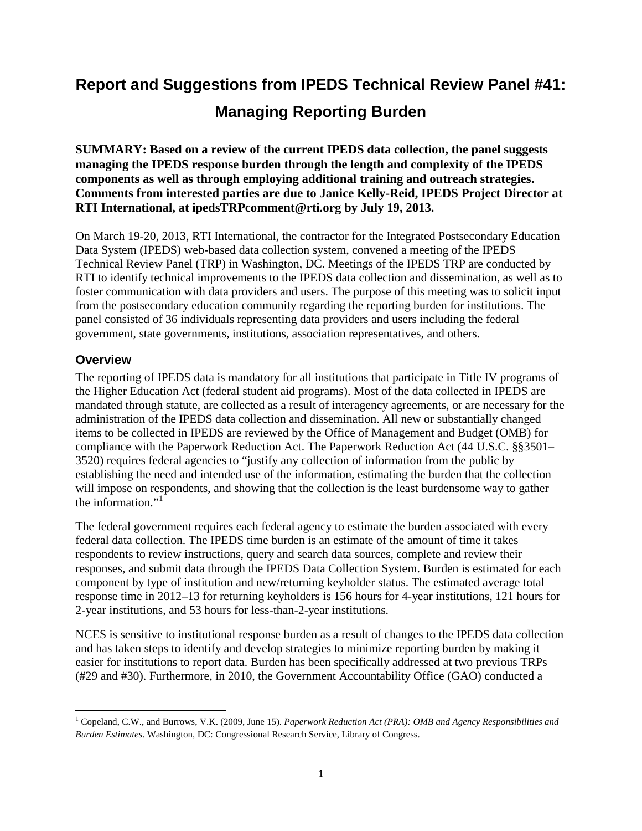# **Report and Suggestions from IPEDS Technical Review Panel #41: Managing Reporting Burden**

**SUMMARY: Based on a review of the current IPEDS data collection, the panel suggests managing the IPEDS response burden through the length and complexity of the IPEDS components as well as through employing additional training and outreach strategies. Comments from interested parties are due to Janice Kelly-Reid, IPEDS Project Director at RTI International, at ipedsTRPcomment@rti.org by July 19, 2013.**

On March 19-20, 2013, RTI International, the contractor for the Integrated Postsecondary Education Data System (IPEDS) web-based data collection system, convened a meeting of the IPEDS Technical Review Panel (TRP) in Washington, DC. Meetings of the IPEDS TRP are conducted by RTI to identify technical improvements to the IPEDS data collection and dissemination, as well as to foster communication with data providers and users. The purpose of this meeting was to solicit input from the postsecondary education community regarding the reporting burden for institutions. The panel consisted of 36 individuals representing data providers and users including the federal government, state governments, institutions, association representatives, and others.

# **Overview**

 $\overline{\phantom{0}}$ 

The reporting of IPEDS data is mandatory for all institutions that participate in Title IV programs of the Higher Education Act (federal student aid programs). Most of the data collected in IPEDS are mandated through statute, are collected as a result of interagency agreements, or are necessary for the administration of the IPEDS data collection and dissemination. All new or substantially changed items to be collected in IPEDS are reviewed by the Office of Management and Budget (OMB) for compliance with the Paperwork Reduction Act. The Paperwork Reduction Act (44 U.S.C. §§3501– 3520) requires federal agencies to "justify any collection of information from the public by establishing the need and intended use of the information, estimating the burden that the collection will impose on respondents, and showing that the collection is the least burdensome way to gather the information."<sup>[1](#page-0-0)</sup>

The federal government requires each federal agency to estimate the burden associated with every federal data collection. The IPEDS time burden is an estimate of the amount of time it takes respondents to review instructions, query and search data sources, complete and review their responses, and submit data through the IPEDS Data Collection System. Burden is estimated for each component by type of institution and new/returning keyholder status. The estimated average total response time in 2012–13 for returning keyholders is 156 hours for 4-year institutions, 121 hours for 2-year institutions, and 53 hours for less-than-2-year institutions.

NCES is sensitive to institutional response burden as a result of changes to the IPEDS data collection and has taken steps to identify and develop strategies to minimize reporting burden by making it easier for institutions to report data. Burden has been specifically addressed at two previous TRPs (#29 and #30). Furthermore, in 2010, the Government Accountability Office (GAO) conducted a

<span id="page-0-0"></span><sup>1</sup> Copeland, C.W., and Burrows, V.K. (2009, June 15). *Paperwork Reduction Act (PRA): OMB and Agency Responsibilities and Burden Estimates*. Washington, DC: Congressional Research Service, Library of Congress.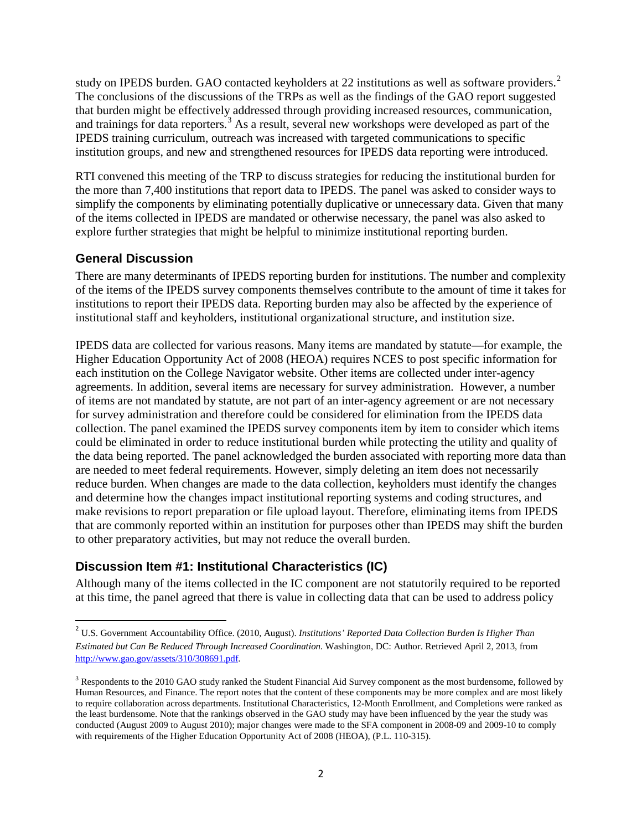study on IPEDS burden. GAO contacted keyholders at [2](#page-1-0)2 institutions as well as software providers.<sup>2</sup> The conclusions of the discussions of the TRPs as well as the findings of the GAO report suggested that burden might be effectively addressed through providing increased resources, communication, and trainings for data reporters.<sup>[3](#page-1-1)</sup> As a result, several new workshops were developed as part of the IPEDS training curriculum, outreach was increased with targeted communications to specific institution groups, and new and strengthened resources for IPEDS data reporting were introduced.

RTI convened this meeting of the TRP to discuss strategies for reducing the institutional burden for the more than 7,400 institutions that report data to IPEDS. The panel was asked to consider ways to simplify the components by eliminating potentially duplicative or unnecessary data. Given that many of the items collected in IPEDS are mandated or otherwise necessary, the panel was also asked to explore further strategies that might be helpful to minimize institutional reporting burden.

# **General Discussion**

There are many determinants of IPEDS reporting burden for institutions. The number and complexity of the items of the IPEDS survey components themselves contribute to the amount of time it takes for institutions to report their IPEDS data. Reporting burden may also be affected by the experience of institutional staff and keyholders, institutional organizational structure, and institution size.

IPEDS data are collected for various reasons. Many items are mandated by statute—for example, the Higher Education Opportunity Act of 2008 (HEOA) requires NCES to post specific information for each institution on the College Navigator website. Other items are collected under inter-agency agreements. In addition, several items are necessary for survey administration. However, a number of items are not mandated by statute, are not part of an inter-agency agreement or are not necessary for survey administration and therefore could be considered for elimination from the IPEDS data collection. The panel examined the IPEDS survey components item by item to consider which items could be eliminated in order to reduce institutional burden while protecting the utility and quality of the data being reported. The panel acknowledged the burden associated with reporting more data than are needed to meet federal requirements. However, simply deleting an item does not necessarily reduce burden. When changes are made to the data collection, keyholders must identify the changes and determine how the changes impact institutional reporting systems and coding structures, and make revisions to report preparation or file upload layout. Therefore, eliminating items from IPEDS that are commonly reported within an institution for purposes other than IPEDS may shift the burden to other preparatory activities, but may not reduce the overall burden.

# **Discussion Item #1: Institutional Characteristics (IC)**

Although many of the items collected in the IC component are not statutorily required to be reported at this time, the panel agreed that there is value in collecting data that can be used to address policy

<span id="page-1-0"></span> <sup>2</sup> U.S. Government Accountability Office. (2010, August). *Institutions' Reported Data Collection Burden Is Higher Than Estimated but Can Be Reduced Through Increased Coordination.* Washington, DC: Author. Retrieved April 2, 2013, from [http://www.gao.gov/assets/310/308691.pdf.](http://www.gao.gov/assets/310/308691.pdf)

<span id="page-1-1"></span><sup>&</sup>lt;sup>3</sup> Respondents to the 2010 GAO study ranked the Student Financial Aid Survey component as the most burdensome, followed by Human Resources, and Finance. The report notes that the content of these components may be more complex and are most likely to require collaboration across departments. Institutional Characteristics, 12-Month Enrollment, and Completions were ranked as the least burdensome. Note that the rankings observed in the GAO study may have been influenced by the year the study was conducted (August 2009 to August 2010); major changes were made to the SFA component in 2008-09 and 2009-10 to comply with requirements of the Higher Education Opportunity Act of 2008 (HEOA), (P.L. 110-315).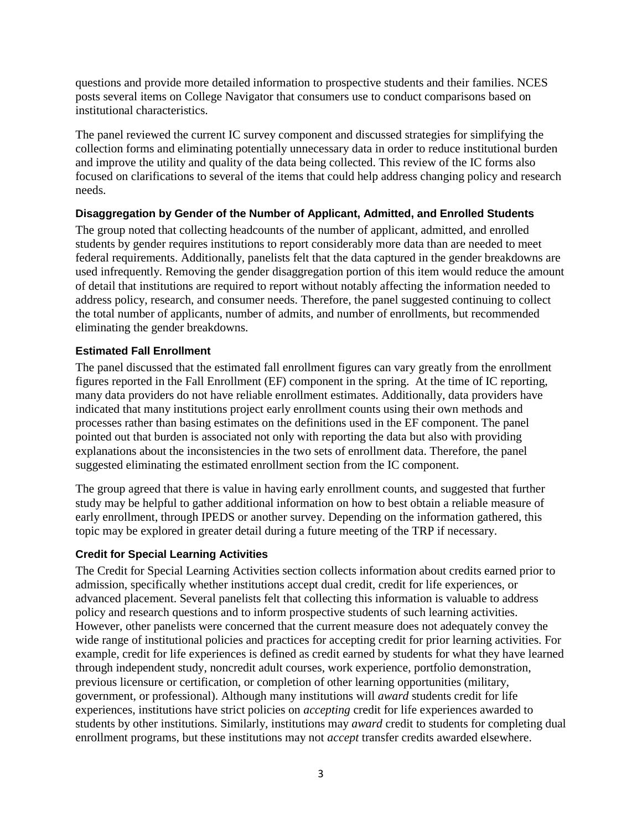questions and provide more detailed information to prospective students and their families. NCES posts several items on College Navigator that consumers use to conduct comparisons based on institutional characteristics.

The panel reviewed the current IC survey component and discussed strategies for simplifying the collection forms and eliminating potentially unnecessary data in order to reduce institutional burden and improve the utility and quality of the data being collected. This review of the IC forms also focused on clarifications to several of the items that could help address changing policy and research needs.

### **Disaggregation by Gender of the Number of Applicant, Admitted, and Enrolled Students**

The group noted that collecting headcounts of the number of applicant, admitted, and enrolled students by gender requires institutions to report considerably more data than are needed to meet federal requirements. Additionally, panelists felt that the data captured in the gender breakdowns are used infrequently. Removing the gender disaggregation portion of this item would reduce the amount of detail that institutions are required to report without notably affecting the information needed to address policy, research, and consumer needs. Therefore, the panel suggested continuing to collect the total number of applicants, number of admits, and number of enrollments, but recommended eliminating the gender breakdowns.

### **Estimated Fall Enrollment**

The panel discussed that the estimated fall enrollment figures can vary greatly from the enrollment figures reported in the Fall Enrollment (EF) component in the spring. At the time of IC reporting, many data providers do not have reliable enrollment estimates. Additionally, data providers have indicated that many institutions project early enrollment counts using their own methods and processes rather than basing estimates on the definitions used in the EF component. The panel pointed out that burden is associated not only with reporting the data but also with providing explanations about the inconsistencies in the two sets of enrollment data. Therefore, the panel suggested eliminating the estimated enrollment section from the IC component.

The group agreed that there is value in having early enrollment counts, and suggested that further study may be helpful to gather additional information on how to best obtain a reliable measure of early enrollment, through IPEDS or another survey. Depending on the information gathered, this topic may be explored in greater detail during a future meeting of the TRP if necessary.

### **Credit for Special Learning Activities**

The Credit for Special Learning Activities section collects information about credits earned prior to admission, specifically whether institutions accept dual credit, credit for life experiences, or advanced placement. Several panelists felt that collecting this information is valuable to address policy and research questions and to inform prospective students of such learning activities. However, other panelists were concerned that the current measure does not adequately convey the wide range of institutional policies and practices for accepting credit for prior learning activities. For example, credit for life experiences is defined as credit earned by students for what they have learned through independent study, noncredit adult courses, work experience, portfolio demonstration, previous licensure or certification, or completion of other learning opportunities (military, government, or professional). Although many institutions will *award* students credit for life experiences, institutions have strict policies on *accepting* credit for life experiences awarded to students by other institutions. Similarly, institutions may *award* credit to students for completing dual enrollment programs, but these institutions may not *accept* transfer credits awarded elsewhere.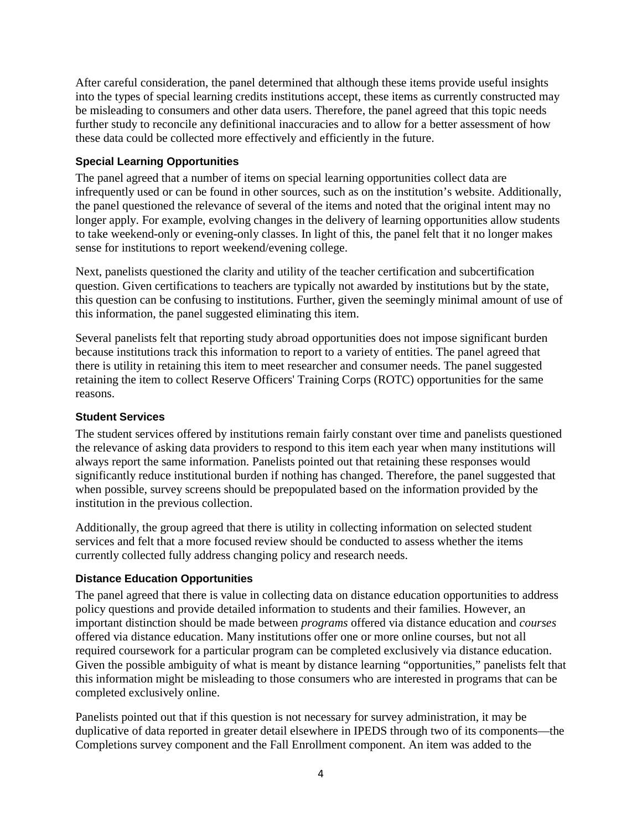After careful consideration, the panel determined that although these items provide useful insights into the types of special learning credits institutions accept, these items as currently constructed may be misleading to consumers and other data users. Therefore, the panel agreed that this topic needs further study to reconcile any definitional inaccuracies and to allow for a better assessment of how these data could be collected more effectively and efficiently in the future.

### **Special Learning Opportunities**

The panel agreed that a number of items on special learning opportunities collect data are infrequently used or can be found in other sources, such as on the institution's website. Additionally, the panel questioned the relevance of several of the items and noted that the original intent may no longer apply. For example, evolving changes in the delivery of learning opportunities allow students to take weekend-only or evening-only classes. In light of this, the panel felt that it no longer makes sense for institutions to report weekend/evening college.

Next, panelists questioned the clarity and utility of the teacher certification and subcertification question. Given certifications to teachers are typically not awarded by institutions but by the state, this question can be confusing to institutions. Further, given the seemingly minimal amount of use of this information, the panel suggested eliminating this item.

Several panelists felt that reporting study abroad opportunities does not impose significant burden because institutions track this information to report to a variety of entities. The panel agreed that there is utility in retaining this item to meet researcher and consumer needs. The panel suggested retaining the item to collect Reserve Officers' Training Corps (ROTC) opportunities for the same reasons.

#### **Student Services**

The student services offered by institutions remain fairly constant over time and panelists questioned the relevance of asking data providers to respond to this item each year when many institutions will always report the same information. Panelists pointed out that retaining these responses would significantly reduce institutional burden if nothing has changed. Therefore, the panel suggested that when possible, survey screens should be prepopulated based on the information provided by the institution in the previous collection.

Additionally, the group agreed that there is utility in collecting information on selected student services and felt that a more focused review should be conducted to assess whether the items currently collected fully address changing policy and research needs.

### **Distance Education Opportunities**

The panel agreed that there is value in collecting data on distance education opportunities to address policy questions and provide detailed information to students and their families. However, an important distinction should be made between *programs* offered via distance education and *courses* offered via distance education. Many institutions offer one or more online courses, but not all required coursework for a particular program can be completed exclusively via distance education. Given the possible ambiguity of what is meant by distance learning "opportunities," panelists felt that this information might be misleading to those consumers who are interested in programs that can be completed exclusively online.

Panelists pointed out that if this question is not necessary for survey administration, it may be duplicative of data reported in greater detail elsewhere in IPEDS through two of its components—the Completions survey component and the Fall Enrollment component. An item was added to the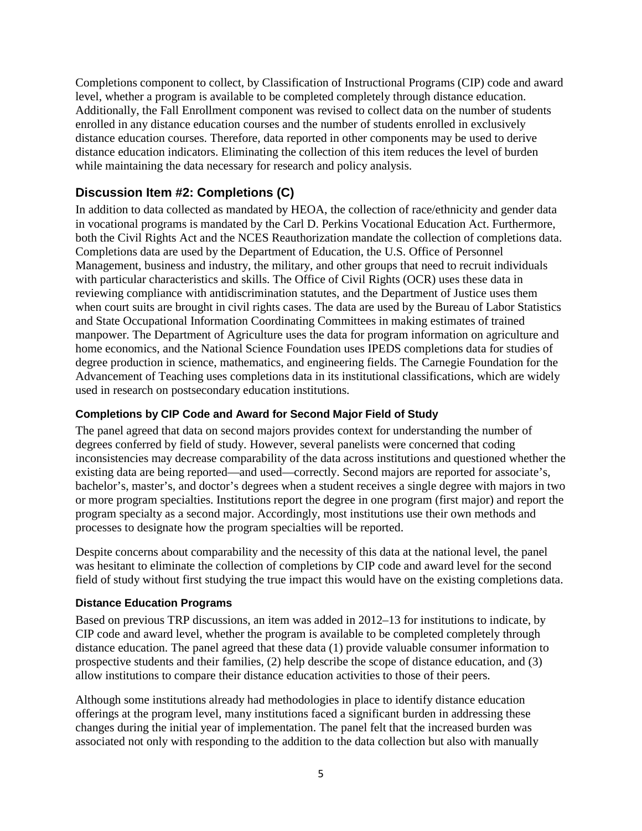Completions component to collect, by Classification of Instructional Programs (CIP) code and award level, whether a program is available to be completed completely through distance education. Additionally, the Fall Enrollment component was revised to collect data on the number of students enrolled in any distance education courses and the number of students enrolled in exclusively distance education courses. Therefore, data reported in other components may be used to derive distance education indicators. Eliminating the collection of this item reduces the level of burden while maintaining the data necessary for research and policy analysis.

# **Discussion Item #2: Completions (C)**

In addition to data collected as mandated by HEOA, the collection of race/ethnicity and gender data in vocational programs is mandated by the Carl D. Perkins Vocational Education Act. Furthermore, both the Civil Rights Act and the NCES Reauthorization mandate the collection of completions data. Completions data are used by the Department of Education, the U.S. Office of Personnel Management, business and industry, the military, and other groups that need to recruit individuals with particular characteristics and skills. The Office of Civil Rights (OCR) uses these data in reviewing compliance with antidiscrimination statutes, and the Department of Justice uses them when court suits are brought in civil rights cases. The data are used by the Bureau of Labor Statistics and State Occupational Information Coordinating Committees in making estimates of trained manpower. The Department of Agriculture uses the data for program information on agriculture and home economics, and the National Science Foundation uses IPEDS completions data for studies of degree production in science, mathematics, and engineering fields. The Carnegie Foundation for the Advancement of Teaching uses completions data in its institutional classifications, which are widely used in research on postsecondary education institutions.

### **Completions by CIP Code and Award for Second Major Field of Study**

The panel agreed that data on second majors provides context for understanding the number of degrees conferred by field of study. However, several panelists were concerned that coding inconsistencies may decrease comparability of the data across institutions and questioned whether the existing data are being reported—and used—correctly. Second majors are reported for associate's, bachelor's, master's, and doctor's degrees when a student receives a single degree with majors in two or more program specialties. Institutions report the degree in one program (first major) and report the program specialty as a second major. Accordingly, most institutions use their own methods and processes to designate how the program specialties will be reported.

Despite concerns about comparability and the necessity of this data at the national level, the panel was hesitant to eliminate the collection of completions by CIP code and award level for the second field of study without first studying the true impact this would have on the existing completions data.

### **Distance Education Programs**

Based on previous TRP discussions, an item was added in 2012–13 for institutions to indicate, by CIP code and award level, whether the program is available to be completed completely through distance education. The panel agreed that these data (1) provide valuable consumer information to prospective students and their families, (2) help describe the scope of distance education, and (3) allow institutions to compare their distance education activities to those of their peers.

Although some institutions already had methodologies in place to identify distance education offerings at the program level, many institutions faced a significant burden in addressing these changes during the initial year of implementation. The panel felt that the increased burden was associated not only with responding to the addition to the data collection but also with manually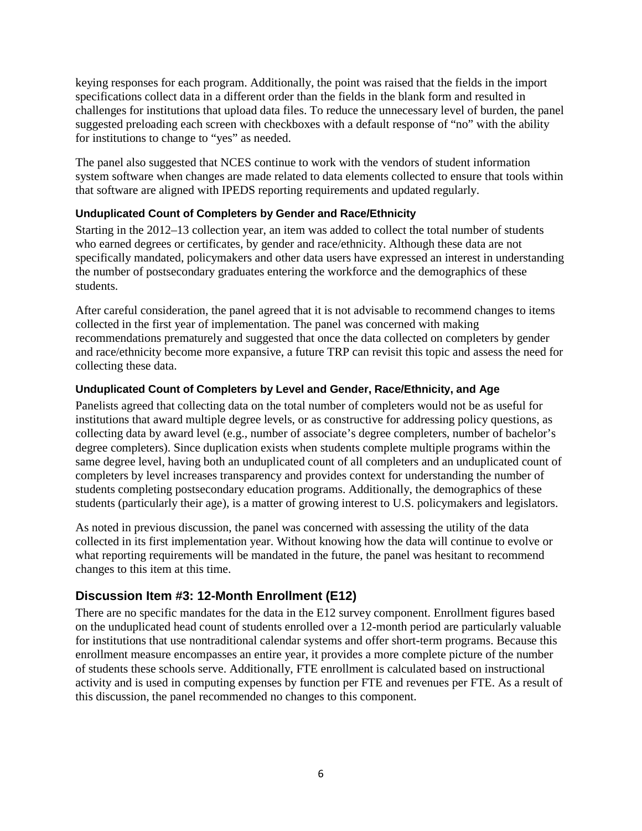keying responses for each program. Additionally, the point was raised that the fields in the import specifications collect data in a different order than the fields in the blank form and resulted in challenges for institutions that upload data files. To reduce the unnecessary level of burden, the panel suggested preloading each screen with checkboxes with a default response of "no" with the ability for institutions to change to "yes" as needed.

The panel also suggested that NCES continue to work with the vendors of student information system software when changes are made related to data elements collected to ensure that tools within that software are aligned with IPEDS reporting requirements and updated regularly.

### **Unduplicated Count of Completers by Gender and Race/Ethnicity**

Starting in the 2012–13 collection year, an item was added to collect the total number of students who earned degrees or certificates, by gender and race/ethnicity. Although these data are not specifically mandated, policymakers and other data users have expressed an interest in understanding the number of postsecondary graduates entering the workforce and the demographics of these students.

After careful consideration, the panel agreed that it is not advisable to recommend changes to items collected in the first year of implementation. The panel was concerned with making recommendations prematurely and suggested that once the data collected on completers by gender and race/ethnicity become more expansive, a future TRP can revisit this topic and assess the need for collecting these data.

## **Unduplicated Count of Completers by Level and Gender, Race/Ethnicity, and Age**

Panelists agreed that collecting data on the total number of completers would not be as useful for institutions that award multiple degree levels, or as constructive for addressing policy questions, as collecting data by award level (e.g., number of associate's degree completers, number of bachelor's degree completers). Since duplication exists when students complete multiple programs within the same degree level, having both an unduplicated count of all completers and an unduplicated count of completers by level increases transparency and provides context for understanding the number of students completing postsecondary education programs. Additionally, the demographics of these students (particularly their age), is a matter of growing interest to U.S. policymakers and legislators.

As noted in previous discussion, the panel was concerned with assessing the utility of the data collected in its first implementation year. Without knowing how the data will continue to evolve or what reporting requirements will be mandated in the future, the panel was hesitant to recommend changes to this item at this time.

# **Discussion Item #3: 12-Month Enrollment (E12)**

There are no specific mandates for the data in the E12 survey component. Enrollment figures based on the unduplicated head count of students enrolled over a 12-month period are particularly valuable for institutions that use nontraditional calendar systems and offer short-term programs. Because this enrollment measure encompasses an entire year, it provides a more complete picture of the number of students these schools serve. Additionally, FTE enrollment is calculated based on instructional activity and is used in computing expenses by function per FTE and revenues per FTE. As a result of this discussion, the panel recommended no changes to this component.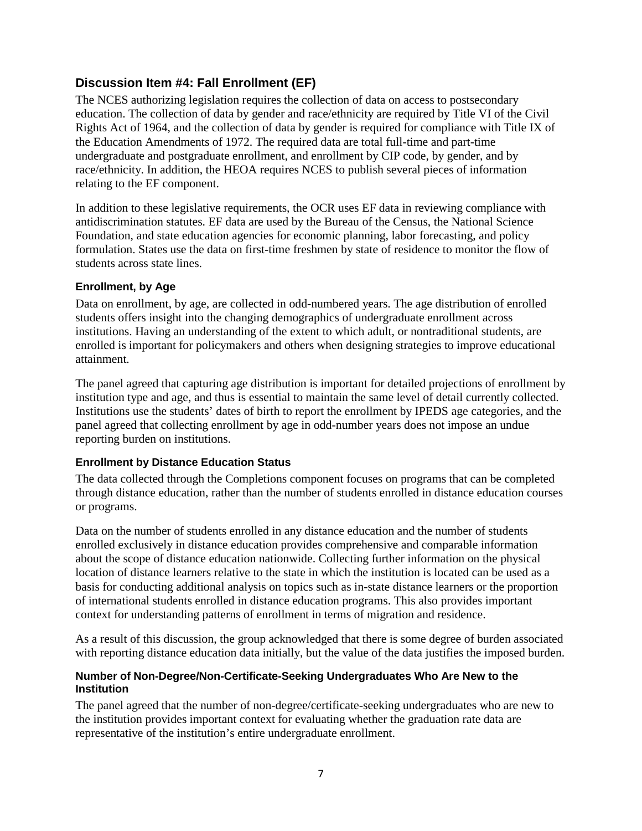# **Discussion Item #4: Fall Enrollment (EF)**

The NCES authorizing legislation requires the collection of data on access to postsecondary education. The collection of data by gender and race/ethnicity are required by Title VI of the Civil Rights Act of 1964, and the collection of data by gender is required for compliance with Title IX of the Education Amendments of 1972. The required data are total full-time and part-time undergraduate and postgraduate enrollment, and enrollment by CIP code, by gender, and by race/ethnicity. In addition, the HEOA requires NCES to publish several pieces of information relating to the EF component.

In addition to these legislative requirements, the OCR uses EF data in reviewing compliance with antidiscrimination statutes. EF data are used by the Bureau of the Census, the National Science Foundation, and state education agencies for economic planning, labor forecasting, and policy formulation. States use the data on first-time freshmen by state of residence to monitor the flow of students across state lines.

## **Enrollment, by Age**

Data on enrollment, by age, are collected in odd-numbered years. The age distribution of enrolled students offers insight into the changing demographics of undergraduate enrollment across institutions. Having an understanding of the extent to which adult, or nontraditional students, are enrolled is important for policymakers and others when designing strategies to improve educational attainment.

The panel agreed that capturing age distribution is important for detailed projections of enrollment by institution type and age, and thus is essential to maintain the same level of detail currently collected. Institutions use the students' dates of birth to report the enrollment by IPEDS age categories, and the panel agreed that collecting enrollment by age in odd-number years does not impose an undue reporting burden on institutions.

# **Enrollment by Distance Education Status**

The data collected through the Completions component focuses on programs that can be completed through distance education, rather than the number of students enrolled in distance education courses or programs.

Data on the number of students enrolled in any distance education and the number of students enrolled exclusively in distance education provides comprehensive and comparable information about the scope of distance education nationwide. Collecting further information on the physical location of distance learners relative to the state in which the institution is located can be used as a basis for conducting additional analysis on topics such as in-state distance learners or the proportion of international students enrolled in distance education programs. This also provides important context for understanding patterns of enrollment in terms of migration and residence.

As a result of this discussion, the group acknowledged that there is some degree of burden associated with reporting distance education data initially, but the value of the data justifies the imposed burden.

### **Number of Non-Degree/Non-Certificate-Seeking Undergraduates Who Are New to the Institution**

The panel agreed that the number of non-degree/certificate-seeking undergraduates who are new to the institution provides important context for evaluating whether the graduation rate data are representative of the institution's entire undergraduate enrollment.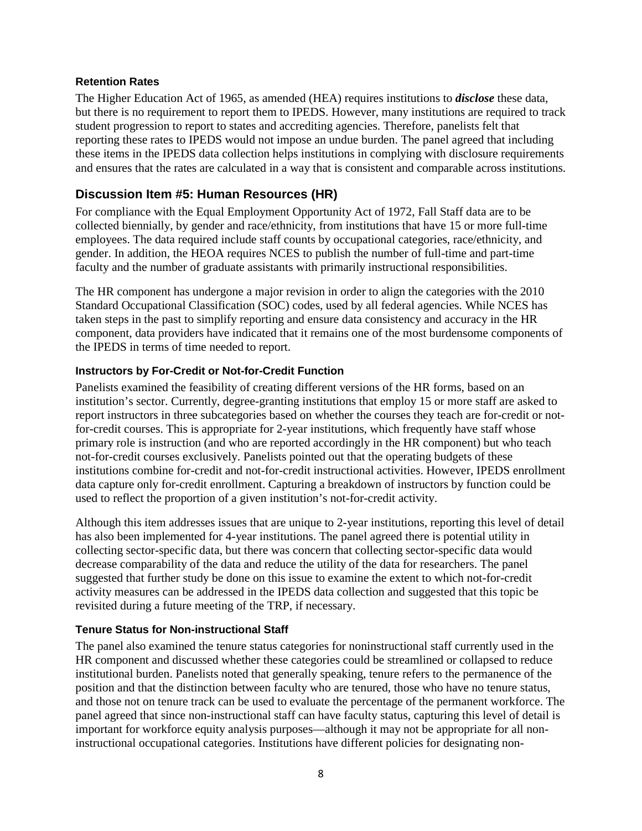#### **Retention Rates**

The Higher Education Act of 1965, as amended (HEA) requires institutions to *disclose* these data, but there is no requirement to report them to IPEDS. However, many institutions are required to track student progression to report to states and accrediting agencies. Therefore, panelists felt that reporting these rates to IPEDS would not impose an undue burden. The panel agreed that including these items in the IPEDS data collection helps institutions in complying with disclosure requirements and ensures that the rates are calculated in a way that is consistent and comparable across institutions.

# **Discussion Item #5: Human Resources (HR)**

For compliance with the Equal Employment Opportunity Act of 1972, Fall Staff data are to be collected biennially, by gender and race/ethnicity, from institutions that have 15 or more full-time employees. The data required include staff counts by occupational categories, race/ethnicity, and gender. In addition, the HEOA requires NCES to publish the number of full-time and part-time faculty and the number of graduate assistants with primarily instructional responsibilities.

The HR component has undergone a major revision in order to align the categories with the 2010 Standard Occupational Classification (SOC) codes, used by all federal agencies. While NCES has taken steps in the past to simplify reporting and ensure data consistency and accuracy in the HR component, data providers have indicated that it remains one of the most burdensome components of the IPEDS in terms of time needed to report.

### **Instructors by For-Credit or Not-for-Credit Function**

Panelists examined the feasibility of creating different versions of the HR forms, based on an institution's sector. Currently, degree-granting institutions that employ 15 or more staff are asked to report instructors in three subcategories based on whether the courses they teach are for-credit or notfor-credit courses. This is appropriate for 2-year institutions, which frequently have staff whose primary role is instruction (and who are reported accordingly in the HR component) but who teach not-for-credit courses exclusively. Panelists pointed out that the operating budgets of these institutions combine for-credit and not-for-credit instructional activities. However, IPEDS enrollment data capture only for-credit enrollment. Capturing a breakdown of instructors by function could be used to reflect the proportion of a given institution's not-for-credit activity.

Although this item addresses issues that are unique to 2-year institutions, reporting this level of detail has also been implemented for 4-year institutions. The panel agreed there is potential utility in collecting sector-specific data, but there was concern that collecting sector-specific data would decrease comparability of the data and reduce the utility of the data for researchers. The panel suggested that further study be done on this issue to examine the extent to which not-for-credit activity measures can be addressed in the IPEDS data collection and suggested that this topic be revisited during a future meeting of the TRP, if necessary.

# **Tenure Status for Non-instructional Staff**

The panel also examined the tenure status categories for noninstructional staff currently used in the HR component and discussed whether these categories could be streamlined or collapsed to reduce institutional burden. Panelists noted that generally speaking, tenure refers to the permanence of the position and that the distinction between faculty who are tenured, those who have no tenure status, and those not on tenure track can be used to evaluate the percentage of the permanent workforce. The panel agreed that since non-instructional staff can have faculty status, capturing this level of detail is important for workforce equity analysis purposes—although it may not be appropriate for all noninstructional occupational categories. Institutions have different policies for designating non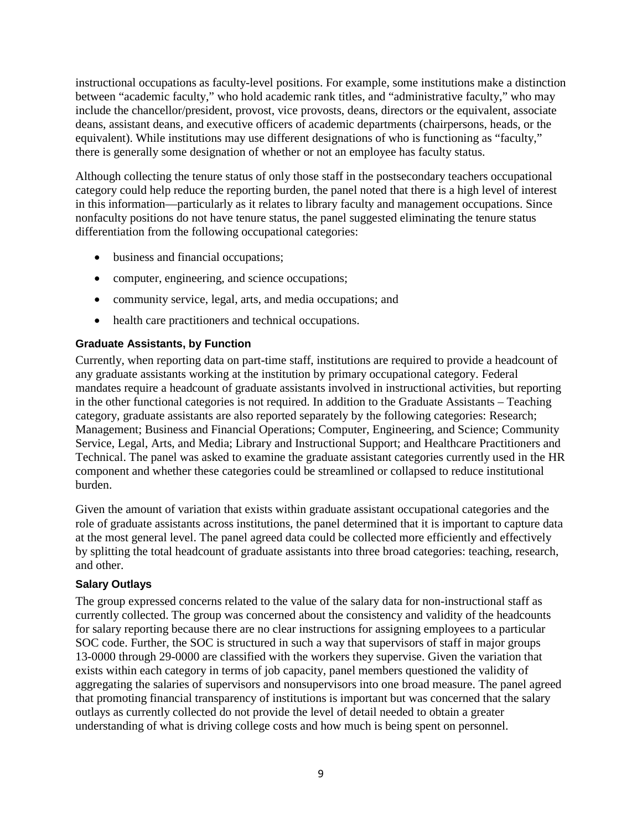instructional occupations as faculty-level positions. For example, some institutions make a distinction between "academic faculty," who hold academic rank titles, and "administrative faculty," who may include the chancellor/president, provost, vice provosts, deans, directors or the equivalent, associate deans, assistant deans, and executive officers of academic departments (chairpersons, heads, or the equivalent). While institutions may use different designations of who is functioning as "faculty," there is generally some designation of whether or not an employee has faculty status.

Although collecting the tenure status of only those staff in the postsecondary teachers occupational category could help reduce the reporting burden, the panel noted that there is a high level of interest in this information—particularly as it relates to library faculty and management occupations. Since nonfaculty positions do not have tenure status, the panel suggested eliminating the tenure status differentiation from the following occupational categories:

- business and financial occupations;
- computer, engineering, and science occupations;
- community service, legal, arts, and media occupations; and
- health care practitioners and technical occupations.

## **Graduate Assistants, by Function**

Currently, when reporting data on part-time staff, institutions are required to provide a headcount of any graduate assistants working at the institution by primary occupational category. Federal mandates require a headcount of graduate assistants involved in instructional activities, but reporting in the other functional categories is not required. In addition to the Graduate Assistants – Teaching category, graduate assistants are also reported separately by the following categories: Research; Management; Business and Financial Operations; Computer, Engineering, and Science; Community Service, Legal, Arts, and Media; Library and Instructional Support; and Healthcare Practitioners and Technical. The panel was asked to examine the graduate assistant categories currently used in the HR component and whether these categories could be streamlined or collapsed to reduce institutional burden.

Given the amount of variation that exists within graduate assistant occupational categories and the role of graduate assistants across institutions, the panel determined that it is important to capture data at the most general level. The panel agreed data could be collected more efficiently and effectively by splitting the total headcount of graduate assistants into three broad categories: teaching, research, and other.

### **Salary Outlays**

The group expressed concerns related to the value of the salary data for non-instructional staff as currently collected. The group was concerned about the consistency and validity of the headcounts for salary reporting because there are no clear instructions for assigning employees to a particular SOC code. Further, the SOC is structured in such a way that supervisors of staff in major groups 13-0000 through 29-0000 are classified with the workers they supervise. Given the variation that exists within each category in terms of job capacity, panel members questioned the validity of aggregating the salaries of supervisors and nonsupervisors into one broad measure. The panel agreed that promoting financial transparency of institutions is important but was concerned that the salary outlays as currently collected do not provide the level of detail needed to obtain a greater understanding of what is driving college costs and how much is being spent on personnel.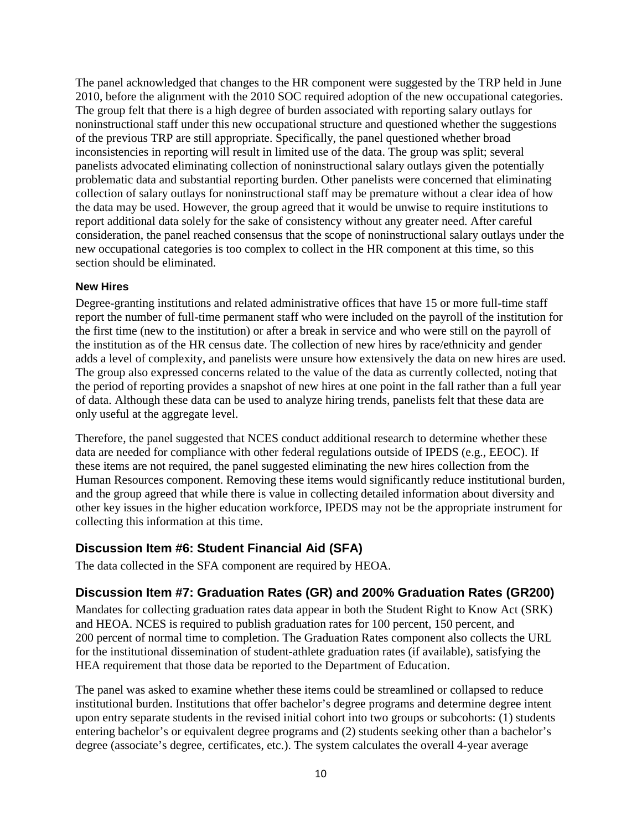The panel acknowledged that changes to the HR component were suggested by the TRP held in June 2010, before the alignment with the 2010 SOC required adoption of the new occupational categories. The group felt that there is a high degree of burden associated with reporting salary outlays for noninstructional staff under this new occupational structure and questioned whether the suggestions of the previous TRP are still appropriate. Specifically, the panel questioned whether broad inconsistencies in reporting will result in limited use of the data. The group was split; several panelists advocated eliminating collection of noninstructional salary outlays given the potentially problematic data and substantial reporting burden. Other panelists were concerned that eliminating collection of salary outlays for noninstructional staff may be premature without a clear idea of how the data may be used. However, the group agreed that it would be unwise to require institutions to report additional data solely for the sake of consistency without any greater need. After careful consideration, the panel reached consensus that the scope of noninstructional salary outlays under the new occupational categories is too complex to collect in the HR component at this time, so this section should be eliminated.

#### **New Hires**

Degree-granting institutions and related administrative offices that have 15 or more full-time staff report the number of full-time permanent staff who were included on the payroll of the institution for the first time (new to the institution) or after a break in service and who were still on the payroll of the institution as of the HR census date. The collection of new hires by race/ethnicity and gender adds a level of complexity, and panelists were unsure how extensively the data on new hires are used. The group also expressed concerns related to the value of the data as currently collected, noting that the period of reporting provides a snapshot of new hires at one point in the fall rather than a full year of data. Although these data can be used to analyze hiring trends, panelists felt that these data are only useful at the aggregate level.

Therefore, the panel suggested that NCES conduct additional research to determine whether these data are needed for compliance with other federal regulations outside of IPEDS (e.g., EEOC). If these items are not required, the panel suggested eliminating the new hires collection from the Human Resources component. Removing these items would significantly reduce institutional burden, and the group agreed that while there is value in collecting detailed information about diversity and other key issues in the higher education workforce, IPEDS may not be the appropriate instrument for collecting this information at this time.

# **Discussion Item #6: Student Financial Aid (SFA)**

The data collected in the SFA component are required by HEOA.

# **Discussion Item #7: Graduation Rates (GR) and 200% Graduation Rates (GR200)**

Mandates for collecting graduation rates data appear in both the Student Right to Know Act (SRK) and HEOA. NCES is required to publish graduation rates for 100 percent, 150 percent, and 200 percent of normal time to completion. The Graduation Rates component also collects the URL for the institutional dissemination of student-athlete graduation rates (if available), satisfying the HEA requirement that those data be reported to the Department of Education.

The panel was asked to examine whether these items could be streamlined or collapsed to reduce institutional burden. Institutions that offer bachelor's degree programs and determine degree intent upon entry separate students in the revised initial cohort into two groups or subcohorts: (1) students entering bachelor's or equivalent degree programs and (2) students seeking other than a bachelor's degree (associate's degree, certificates, etc.). The system calculates the overall 4-year average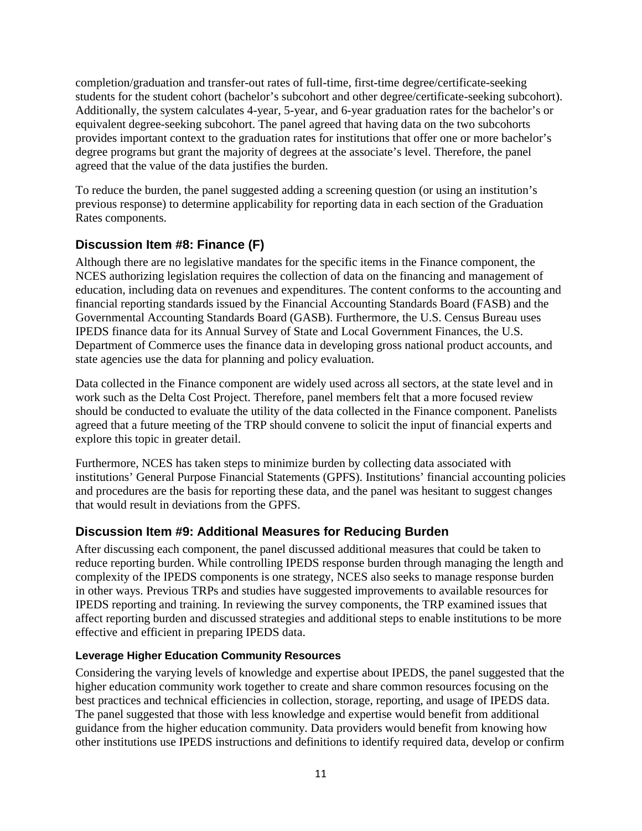completion/graduation and transfer-out rates of full-time, first-time degree/certificate-seeking students for the student cohort (bachelor's subcohort and other degree/certificate-seeking subcohort). Additionally, the system calculates 4-year, 5-year, and 6-year graduation rates for the bachelor's or equivalent degree-seeking subcohort. The panel agreed that having data on the two subcohorts provides important context to the graduation rates for institutions that offer one or more bachelor's degree programs but grant the majority of degrees at the associate's level. Therefore, the panel agreed that the value of the data justifies the burden.

To reduce the burden, the panel suggested adding a screening question (or using an institution's previous response) to determine applicability for reporting data in each section of the Graduation Rates components.

# **Discussion Item #8: Finance (F)**

Although there are no legislative mandates for the specific items in the Finance component, the NCES authorizing legislation requires the collection of data on the financing and management of education, including data on revenues and expenditures. The content conforms to the accounting and financial reporting standards issued by the Financial Accounting Standards Board (FASB) and the Governmental Accounting Standards Board (GASB). Furthermore, the U.S. Census Bureau uses IPEDS finance data for its Annual Survey of State and Local Government Finances, the U.S. Department of Commerce uses the finance data in developing gross national product accounts, and state agencies use the data for planning and policy evaluation.

Data collected in the Finance component are widely used across all sectors, at the state level and in work such as the Delta Cost Project. Therefore, panel members felt that a more focused review should be conducted to evaluate the utility of the data collected in the Finance component. Panelists agreed that a future meeting of the TRP should convene to solicit the input of financial experts and explore this topic in greater detail.

Furthermore, NCES has taken steps to minimize burden by collecting data associated with institutions' General Purpose Financial Statements (GPFS). Institutions' financial accounting policies and procedures are the basis for reporting these data, and the panel was hesitant to suggest changes that would result in deviations from the GPFS.

# **Discussion Item #9: Additional Measures for Reducing Burden**

After discussing each component, the panel discussed additional measures that could be taken to reduce reporting burden. While controlling IPEDS response burden through managing the length and complexity of the IPEDS components is one strategy, NCES also seeks to manage response burden in other ways. Previous TRPs and studies have suggested improvements to available resources for IPEDS reporting and training. In reviewing the survey components, the TRP examined issues that affect reporting burden and discussed strategies and additional steps to enable institutions to be more effective and efficient in preparing IPEDS data.

# **Leverage Higher Education Community Resources**

Considering the varying levels of knowledge and expertise about IPEDS, the panel suggested that the higher education community work together to create and share common resources focusing on the best practices and technical efficiencies in collection, storage, reporting, and usage of IPEDS data. The panel suggested that those with less knowledge and expertise would benefit from additional guidance from the higher education community. Data providers would benefit from knowing how other institutions use IPEDS instructions and definitions to identify required data, develop or confirm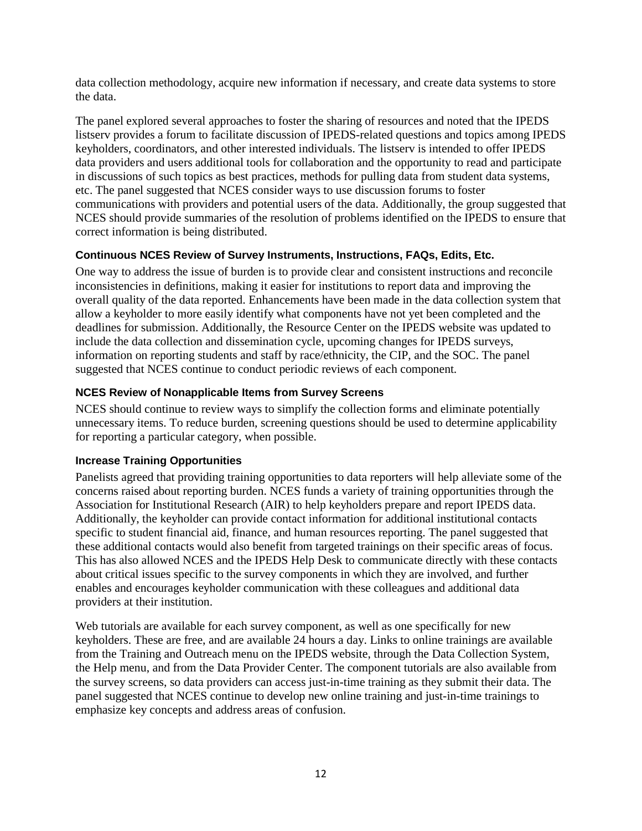data collection methodology, acquire new information if necessary, and create data systems to store the data.

The panel explored several approaches to foster the sharing of resources and noted that the IPEDS listserv provides a forum to facilitate discussion of IPEDS-related questions and topics among IPEDS keyholders, coordinators, and other interested individuals. The listserv is intended to offer IPEDS data providers and users additional tools for collaboration and the opportunity to read and participate in discussions of such topics as best practices, methods for pulling data from student data systems, etc. The panel suggested that NCES consider ways to use discussion forums to foster communications with providers and potential users of the data. Additionally, the group suggested that NCES should provide summaries of the resolution of problems identified on the IPEDS to ensure that correct information is being distributed.

### **Continuous NCES Review of Survey Instruments, Instructions, FAQs, Edits, Etc.**

One way to address the issue of burden is to provide clear and consistent instructions and reconcile inconsistencies in definitions, making it easier for institutions to report data and improving the overall quality of the data reported. Enhancements have been made in the data collection system that allow a keyholder to more easily identify what components have not yet been completed and the deadlines for submission. Additionally, the Resource Center on the IPEDS website was updated to include the data collection and dissemination cycle, upcoming changes for IPEDS surveys, information on reporting students and staff by race/ethnicity, the CIP, and the SOC. The panel suggested that NCES continue to conduct periodic reviews of each component.

# **NCES Review of Nonapplicable Items from Survey Screens**

NCES should continue to review ways to simplify the collection forms and eliminate potentially unnecessary items. To reduce burden, screening questions should be used to determine applicability for reporting a particular category, when possible.

### **Increase Training Opportunities**

Panelists agreed that providing training opportunities to data reporters will help alleviate some of the concerns raised about reporting burden. NCES funds a variety of training opportunities through the Association for Institutional Research (AIR) to help keyholders prepare and report IPEDS data. Additionally, the keyholder can provide contact information for additional institutional contacts specific to student financial aid, finance, and human resources reporting. The panel suggested that these additional contacts would also benefit from targeted trainings on their specific areas of focus. This has also allowed NCES and the IPEDS Help Desk to communicate directly with these contacts about critical issues specific to the survey components in which they are involved, and further enables and encourages keyholder communication with these colleagues and additional data providers at their institution.

Web tutorials are available for each survey component, as well as one specifically for new keyholders. These are free, and are available 24 hours a day. Links to online trainings are available from the Training and Outreach menu on the IPEDS website, through the Data Collection System, the Help menu, and from the Data Provider Center. The component tutorials are also available from the survey screens, so data providers can access just-in-time training as they submit their data. The panel suggested that NCES continue to develop new online training and just-in-time trainings to emphasize key concepts and address areas of confusion.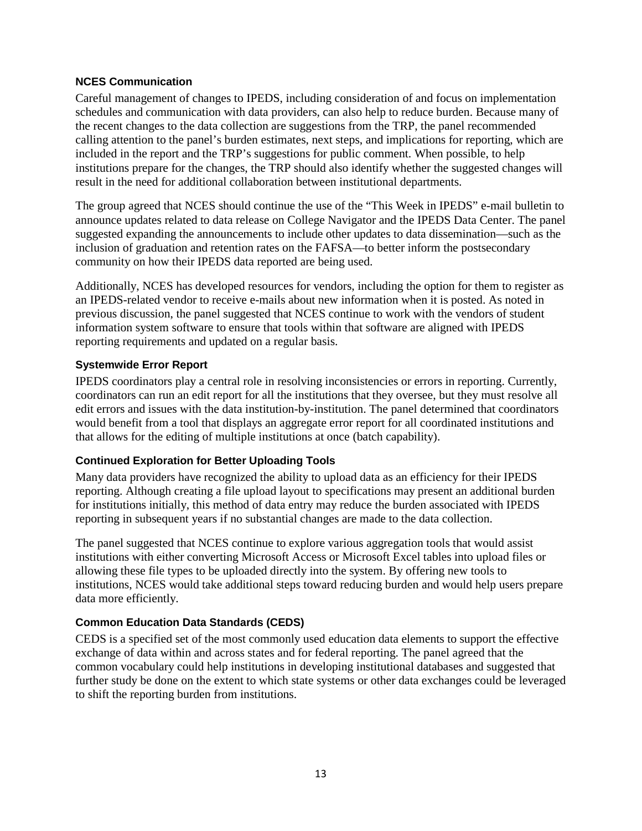#### **NCES Communication**

Careful management of changes to IPEDS, including consideration of and focus on implementation schedules and communication with data providers, can also help to reduce burden. Because many of the recent changes to the data collection are suggestions from the TRP, the panel recommended calling attention to the panel's burden estimates, next steps, and implications for reporting, which are included in the report and the TRP's suggestions for public comment. When possible, to help institutions prepare for the changes, the TRP should also identify whether the suggested changes will result in the need for additional collaboration between institutional departments.

The group agreed that NCES should continue the use of the "This Week in IPEDS" e-mail bulletin to announce updates related to data release on College Navigator and the IPEDS Data Center. The panel suggested expanding the announcements to include other updates to data dissemination—such as the inclusion of graduation and retention rates on the FAFSA—to better inform the postsecondary community on how their IPEDS data reported are being used.

Additionally, NCES has developed resources for vendors, including the option for them to register as an IPEDS-related vendor to receive e-mails about new information when it is posted. As noted in previous discussion, the panel suggested that NCES continue to work with the vendors of student information system software to ensure that tools within that software are aligned with IPEDS reporting requirements and updated on a regular basis.

#### **Systemwide Error Report**

IPEDS coordinators play a central role in resolving inconsistencies or errors in reporting. Currently, coordinators can run an edit report for all the institutions that they oversee, but they must resolve all edit errors and issues with the data institution-by-institution. The panel determined that coordinators would benefit from a tool that displays an aggregate error report for all coordinated institutions and that allows for the editing of multiple institutions at once (batch capability).

### **Continued Exploration for Better Uploading Tools**

Many data providers have recognized the ability to upload data as an efficiency for their IPEDS reporting. Although creating a file upload layout to specifications may present an additional burden for institutions initially, this method of data entry may reduce the burden associated with IPEDS reporting in subsequent years if no substantial changes are made to the data collection.

The panel suggested that NCES continue to explore various aggregation tools that would assist institutions with either converting Microsoft Access or Microsoft Excel tables into upload files or allowing these file types to be uploaded directly into the system. By offering new tools to institutions, NCES would take additional steps toward reducing burden and would help users prepare data more efficiently.

### **Common Education Data Standards (CEDS)**

CEDS is a specified set of the most commonly used education data elements to support the effective exchange of data within and across states and for federal reporting. The panel agreed that the common vocabulary could help institutions in developing institutional databases and suggested that further study be done on the extent to which state systems or other data exchanges could be leveraged to shift the reporting burden from institutions.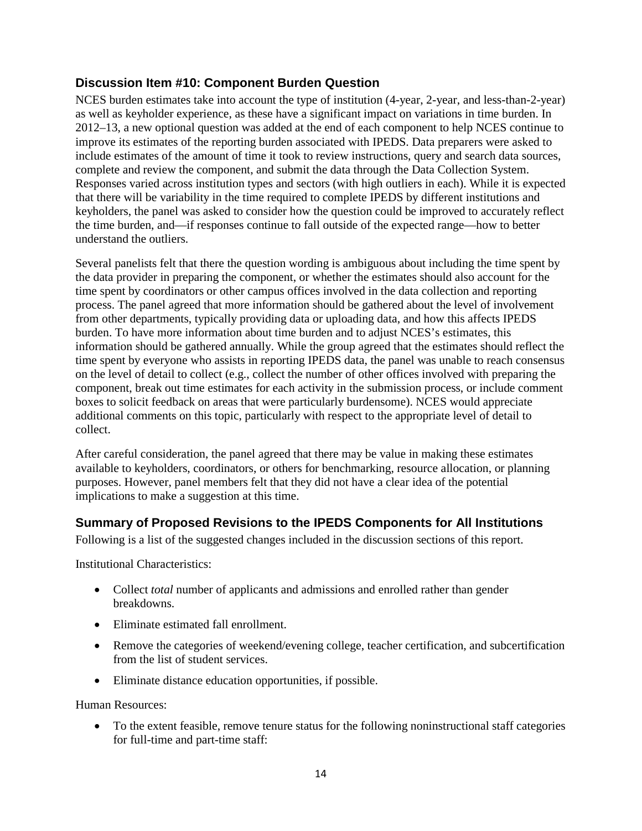# **Discussion Item #10: Component Burden Question**

NCES burden estimates take into account the type of institution (4-year, 2-year, and less-than-2-year) as well as keyholder experience, as these have a significant impact on variations in time burden. In 2012–13, a new optional question was added at the end of each component to help NCES continue to improve its estimates of the reporting burden associated with IPEDS. Data preparers were asked to include estimates of the amount of time it took to review instructions, query and search data sources, complete and review the component, and submit the data through the Data Collection System. Responses varied across institution types and sectors (with high outliers in each). While it is expected that there will be variability in the time required to complete IPEDS by different institutions and keyholders, the panel was asked to consider how the question could be improved to accurately reflect the time burden, and—if responses continue to fall outside of the expected range—how to better understand the outliers.

Several panelists felt that there the question wording is ambiguous about including the time spent by the data provider in preparing the component, or whether the estimates should also account for the time spent by coordinators or other campus offices involved in the data collection and reporting process. The panel agreed that more information should be gathered about the level of involvement from other departments, typically providing data or uploading data, and how this affects IPEDS burden. To have more information about time burden and to adjust NCES's estimates, this information should be gathered annually. While the group agreed that the estimates should reflect the time spent by everyone who assists in reporting IPEDS data, the panel was unable to reach consensus on the level of detail to collect (e.g., collect the number of other offices involved with preparing the component, break out time estimates for each activity in the submission process, or include comment boxes to solicit feedback on areas that were particularly burdensome). NCES would appreciate additional comments on this topic, particularly with respect to the appropriate level of detail to collect.

After careful consideration, the panel agreed that there may be value in making these estimates available to keyholders, coordinators, or others for benchmarking, resource allocation, or planning purposes. However, panel members felt that they did not have a clear idea of the potential implications to make a suggestion at this time.

# **Summary of Proposed Revisions to the IPEDS Components for All Institutions**

Following is a list of the suggested changes included in the discussion sections of this report.

Institutional Characteristics:

- Collect *total* number of applicants and admissions and enrolled rather than gender breakdowns.
- Eliminate estimated fall enrollment.
- Remove the categories of weekend/evening college, teacher certification, and subcertification from the list of student services.
- Eliminate distance education opportunities, if possible.

Human Resources:

• To the extent feasible, remove tenure status for the following noninstructional staff categories for full-time and part-time staff: